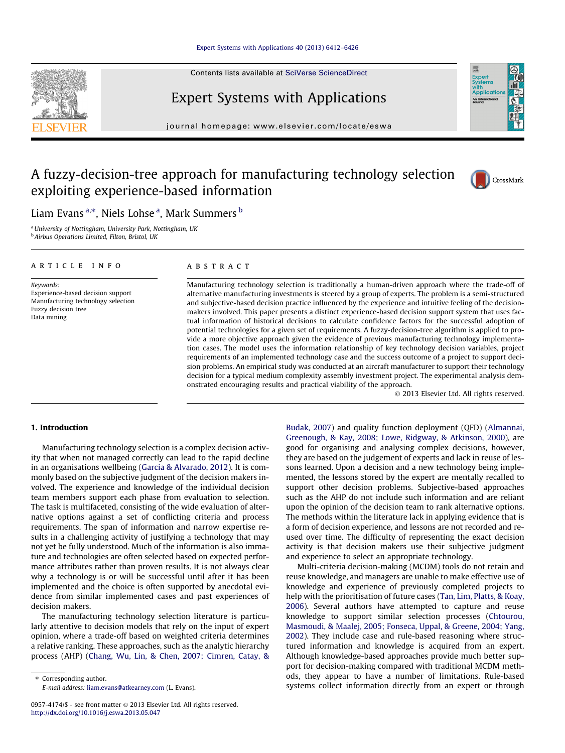## [Expert Systems with Applications 40 \(2013\) 6412–6426](http://dx.doi.org/10.1016/j.eswa.2013.05.047)

Contents lists available at [SciVerse ScienceDirect](http://www.sciencedirect.com/science/journal/09574174)

# Expert Systems with Applications

journal homepage: [www.elsevier.com/locate/eswa](http://www.elsevier.com/locate/eswa)

# A fuzzy-decision-tree approach for manufacturing technology selection exploiting experience-based information



<sup>a</sup> University of Nottingham, University Park, Nottingham, UK <sup>b</sup> Airbus Operations Limited, Filton, Bristol, UK

### article info

Keywords: Experience-based decision support Manufacturing technology selection Fuzzy decision tree Data mining

# ABSTRACT

Manufacturing technology selection is traditionally a human-driven approach where the trade-off of alternative manufacturing investments is steered by a group of experts. The problem is a semi-structured and subjective-based decision practice influenced by the experience and intuitive feeling of the decisionmakers involved. This paper presents a distinct experience-based decision support system that uses factual information of historical decisions to calculate confidence factors for the successful adoption of potential technologies for a given set of requirements. A fuzzy-decision-tree algorithm is applied to provide a more objective approach given the evidence of previous manufacturing technology implementation cases. The model uses the information relationship of key technology decision variables, project requirements of an implemented technology case and the success outcome of a project to support decision problems. An empirical study was conducted at an aircraft manufacturer to support their technology decision for a typical medium complexity assembly investment project. The experimental analysis demonstrated encouraging results and practical viability of the approach.

- 2013 Elsevier Ltd. All rights reserved.

# 1. Introduction

Manufacturing technology selection is a complex decision activity that when not managed correctly can lead to the rapid decline in an organisations wellbeing [\(Garcia & Alvarado, 2012\)](#page--1-0). It is commonly based on the subjective judgment of the decision makers involved. The experience and knowledge of the individual decision team members support each phase from evaluation to selection. The task is multifaceted, consisting of the wide evaluation of alternative options against a set of conflicting criteria and process requirements. The span of information and narrow expertise results in a challenging activity of justifying a technology that may not yet be fully understood. Much of the information is also immature and technologies are often selected based on expected performance attributes rather than proven results. It is not always clear why a technology is or will be successful until after it has been implemented and the choice is often supported by anecdotal evidence from similar implemented cases and past experiences of decision makers.

The manufacturing technology selection literature is particularly attentive to decision models that rely on the input of expert opinion, where a trade-off based on weighted criteria determines a relative ranking. These approaches, such as the analytic hierarchy process (AHP) ([Chang, Wu, Lin, & Chen, 2007; Cimren, Catay, &](#page--1-0)

⇑ Corresponding author. E-mail address: [liam.evans@atkearney.com](mailto:liam.evans@atkearney.com) (L. Evans). [Budak, 2007](#page--1-0)) and quality function deployment (QFD) ([Almannai,](#page--1-0) [Greenough, & Kay, 2008; Lowe, Ridgway, & Atkinson, 2000\)](#page--1-0), are good for organising and analysing complex decisions, however, they are based on the judgement of experts and lack in reuse of lessons learned. Upon a decision and a new technology being implemented, the lessons stored by the expert are mentally recalled to support other decision problems. Subjective-based approaches such as the AHP do not include such information and are reliant upon the opinion of the decision team to rank alternative options. The methods within the literature lack in applying evidence that is a form of decision experience, and lessons are not recorded and reused over time. The difficulty of representing the exact decision activity is that decision makers use their subjective judgment and experience to select an appropriate technology.

Multi-criteria decision-making (MCDM) tools do not retain and reuse knowledge, and managers are unable to make effective use of knowledge and experience of previously completed projects to help with the prioritisation of future cases [\(Tan, Lim, Platts, & Koay,](#page--1-0) [2006\)](#page--1-0). Several authors have attempted to capture and reuse knowledge to support similar selection processes ([Chtourou,](#page--1-0) [Masmoudi, & Maalej, 2005; Fonseca, Uppal, & Greene, 2004; Yang,](#page--1-0) [2002\)](#page--1-0). They include case and rule-based reasoning where structured information and knowledge is acquired from an expert. Although knowledge-based approaches provide much better support for decision-making compared with traditional MCDM methods, they appear to have a number of limitations. Rule-based systems collect information directly from an expert or through







<sup>0957-4174/\$ -</sup> see front matter © 2013 Elsevier Ltd. All rights reserved. <http://dx.doi.org/10.1016/j.eswa.2013.05.047>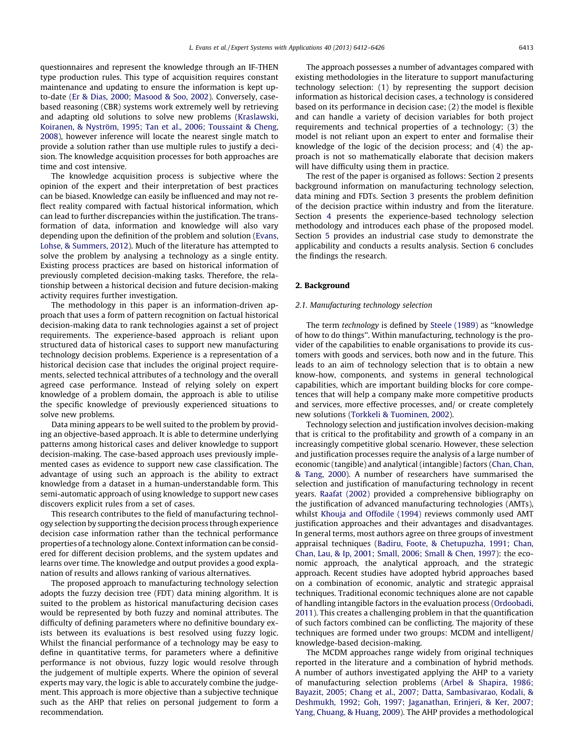questionnaires and represent the knowledge through an IF-THEN type production rules. This type of acquisition requires constant maintenance and updating to ensure the information is kept upto-date ([Er & Dias, 2000; Masood & Soo, 2002](#page--1-0)). Conversely, casebased reasoning (CBR) systems work extremely well by retrieving and adapting old solutions to solve new problems ([Kraslawski,](#page--1-0) [Koiranen, & Nyström, 1995; Tan et al., 2006; Toussaint & Cheng,](#page--1-0) [2008](#page--1-0)), however inference will locate the nearest single match to provide a solution rather than use multiple rules to justify a decision. The knowledge acquisition processes for both approaches are time and cost intensive.

The knowledge acquisition process is subjective where the opinion of the expert and their interpretation of best practices can be biased. Knowledge can easily be influenced and may not reflect reality compared with factual historical information, which can lead to further discrepancies within the justification. The transformation of data, information and knowledge will also vary depending upon the definition of the problem and solution ([Evans,](#page--1-0) [Lohse, & Summers, 2012](#page--1-0)). Much of the literature has attempted to solve the problem by analysing a technology as a single entity. Existing process practices are based on historical information of previously completed decision-making tasks. Therefore, the relationship between a historical decision and future decision-making activity requires further investigation.

The methodology in this paper is an information-driven approach that uses a form of pattern recognition on factual historical decision-making data to rank technologies against a set of project requirements. The experience-based approach is reliant upon structured data of historical cases to support new manufacturing technology decision problems. Experience is a representation of a historical decision case that includes the original project requirements, selected technical attributes of a technology and the overall agreed case performance. Instead of relying solely on expert knowledge of a problem domain, the approach is able to utilise the specific knowledge of previously experienced situations to solve new problems.

Data mining appears to be well suited to the problem by providing an objective-based approach. It is able to determine underlying patterns among historical cases and deliver knowledge to support decision-making. The case-based approach uses previously implemented cases as evidence to support new case classification. The advantage of using such an approach is the ability to extract knowledge from a dataset in a human-understandable form. This semi-automatic approach of using knowledge to support new cases discovers explicit rules from a set of cases.

This research contributes to the field of manufacturing technology selection by supporting the decision process through experience decision case information rather than the technical performance properties of a technology alone. Context information can be considered for different decision problems, and the system updates and learns over time. The knowledge and output provides a good explanation of results and allows ranking of various alternatives.

The proposed approach to manufacturing technology selection adopts the fuzzy decision tree (FDT) data mining algorithm. It is suited to the problem as historical manufacturing decision cases would be represented by both fuzzy and nominal attributes. The difficulty of defining parameters where no definitive boundary exists between its evaluations is best resolved using fuzzy logic. Whilst the financial performance of a technology may be easy to define in quantitative terms, for parameters where a definitive performance is not obvious, fuzzy logic would resolve through the judgement of multiple experts. Where the opinion of several experts may vary, the logic is able to accurately combine the judgement. This approach is more objective than a subjective technique such as the AHP that relies on personal judgement to form a recommendation.

The approach possesses a number of advantages compared with existing methodologies in the literature to support manufacturing technology selection: (1) by representing the support decision information as historical decision cases, a technology is considered based on its performance in decision case; (2) the model is flexible and can handle a variety of decision variables for both project requirements and technical properties of a technology; (3) the model is not reliant upon an expert to enter and formalise their knowledge of the logic of the decision process; and (4) the approach is not so mathematically elaborate that decision makers will have difficulty using them in practice.

The rest of the paper is organised as follows: Section 2 presents background information on manufacturing technology selection, data mining and FDTs. Section [3](#page--1-0) presents the problem definition of the decision practice within industry and from the literature. Section [4](#page--1-0) presents the experience-based technology selection methodology and introduces each phase of the proposed model. Section [5](#page--1-0) provides an industrial case study to demonstrate the applicability and conducts a results analysis. Section [6](#page--1-0) concludes the findings the research.

#### 2. Background

#### 2.1. Manufacturing technology selection

The term technology is defined by [Steele \(1989\)](#page--1-0) as ''knowledge of how to do things''. Within manufacturing, technology is the provider of the capabilities to enable organisations to provide its customers with goods and services, both now and in the future. This leads to an aim of technology selection that is to obtain a new know-how, components, and systems in general technological capabilities, which are important building blocks for core competences that will help a company make more competitive products and services, more effective processes, and/ or create completely new solutions [\(Torkkeli & Tuominen, 2002\)](#page--1-0).

Technology selection and justification involves decision-making that is critical to the profitability and growth of a company in an increasingly competitive global scenario. However, these selection and justification processes require the analysis of a large number of economic (tangible) and analytical (intangible) factors ([Chan, Chan,](#page--1-0) [& Tang, 2000\)](#page--1-0). A number of researchers have summarised the selection and justification of manufacturing technology in recent years. [Raafat \(2002\)](#page--1-0) provided a comprehensive bibliography on the justification of advanced manufacturing technologies (AMTs), whilst [Khouja and Offodile \(1994\)](#page--1-0) reviews commonly used AMT justification approaches and their advantages and disadvantages. In general terms, most authors agree on three groups of investment appraisal techniques [\(Badiru, Foote, & Chetupuzha, 1991; Chan,](#page--1-0) [Chan, Lau, & Ip, 2001; Small, 2006; Small & Chen, 1997\)](#page--1-0): the economic approach, the analytical approach, and the strategic approach. Recent studies have adopted hybrid approaches based on a combination of economic, analytic and strategic appraisal techniques. Traditional economic techniques alone are not capable of handling intangible factors in the evaluation process [\(Ordoobadi,](#page--1-0) [2011](#page--1-0)). This creates a challenging problem in that the quantification of such factors combined can be conflicting. The majority of these techniques are formed under two groups: MCDM and intelligent/ knowledge-based decision-making.

The MCDM approaches range widely from original techniques reported in the literature and a combination of hybrid methods. A number of authors investigated applying the AHP to a variety of manufacturing selection problems [\(Arbel & Shapira, 1986;](#page--1-0) [Bayazit, 2005; Chang et al., 2007; Datta, Sambasivarao, Kodali, &](#page--1-0) [Deshmukh, 1992; Goh, 1997; Jaganathan, Erinjeri, & Ker, 2007;](#page--1-0) [Yang, Chuang, & Huang, 2009\)](#page--1-0). The AHP provides a methodological